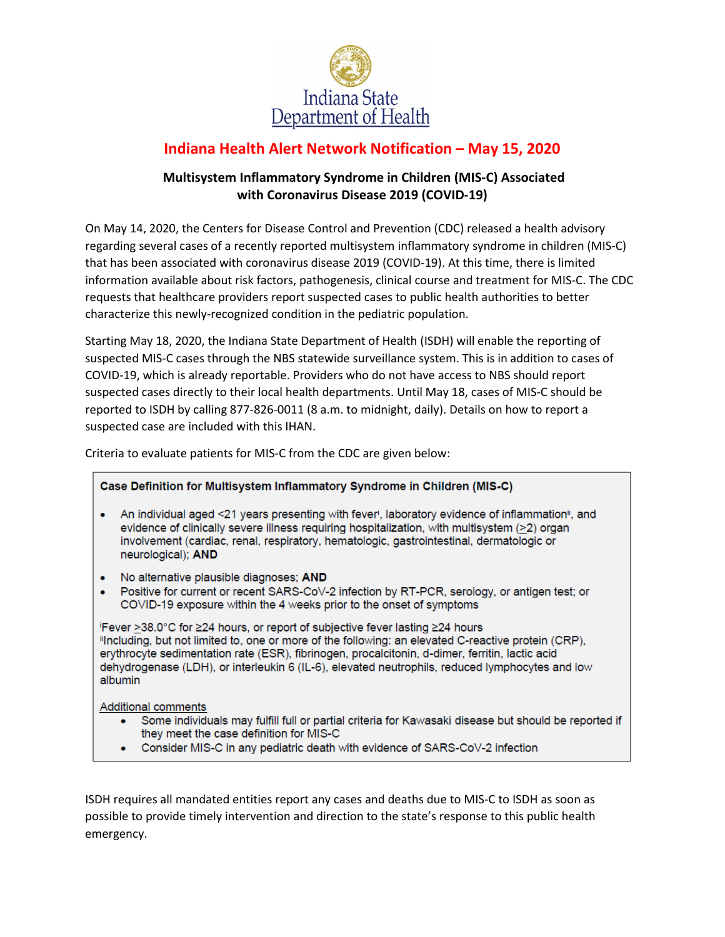

## **Indiana Health Alert Network Notification – May 15, 2020**

## **Multisystem Inflammatory Syndrome in Children (MIS-C) Associated with Coronavirus Disease 2019 (COVID-19)**

On May 14, 2020, the Centers for Disease Control and Prevention (CDC) released a health advisory regarding several cases of a recently reported multisystem inflammatory syndrome in children (MIS-C) that has been associated with coronavirus disease 2019 (COVID-19). At this time, there is limited information available about risk factors, pathogenesis, clinical course and treatment for MIS-C. The CDC requests that healthcare providers report suspected cases to public health authorities to better characterize this newly-recognized condition in the pediatric population.

Starting May 18, 2020, the Indiana State Department of Health (ISDH) will enable the reporting of suspected MIS-C cases through the NBS statewide surveillance system. This is in addition to cases of COVID-19, which is already reportable. Providers who do not have access to NBS should report suspected cases directly to their local health departments. Until May 18, cases of MIS-C should be reported to ISDH by calling 877-826-0011 (8 a.m. to midnight, daily). Details on how to report a suspected case are included with this IHAN.

Criteria to evaluate patients for MIS-C from the CDC are given below:

## Case Definition for Multisystem Inflammatory Syndrome in Children (MIS-C)

- An individual aged <21 years presenting with fever<sup>i</sup>, laboratory evidence of inflammation<sup>ii</sup>, and evidence of clinically severe illness requiring hospitalization, with multisystem (>2) organ involvement (cardiac, renal, respiratory, hematologic, gastrointestinal, dermatologic or neurological); AND
- No alternative plausible diagnoses; AND
- Positive for current or recent SARS-CoV-2 infection by RT-PCR, serology, or antigen test; or COVID-19 exposure within the 4 weeks prior to the onset of symptoms

iFever >38.0°C for ≥24 hours, or report of subjective fever lasting ≥24 hours "Including, but not limited to, one or more of the following; an elevated C-reactive protein (CRP). erythrocyte sedimentation rate (ESR), fibrinogen, procalcitonin, d-dimer, ferritin, lactic acid dehydrogenase (LDH), or interleukin 6 (IL-6), elevated neutrophils, reduced lymphocytes and low albumin

Additional comments

- Some individuals may fulfill full or partial criteria for Kawasaki disease but should be reported if they meet the case definition for MIS-C
- Consider MIS-C in any pediatric death with evidence of SARS-CoV-2 infection

ISDH requires all mandated entities report any cases and deaths due to MIS-C to ISDH as soon as possible to provide timely intervention and direction to the state's response to this public health emergency.